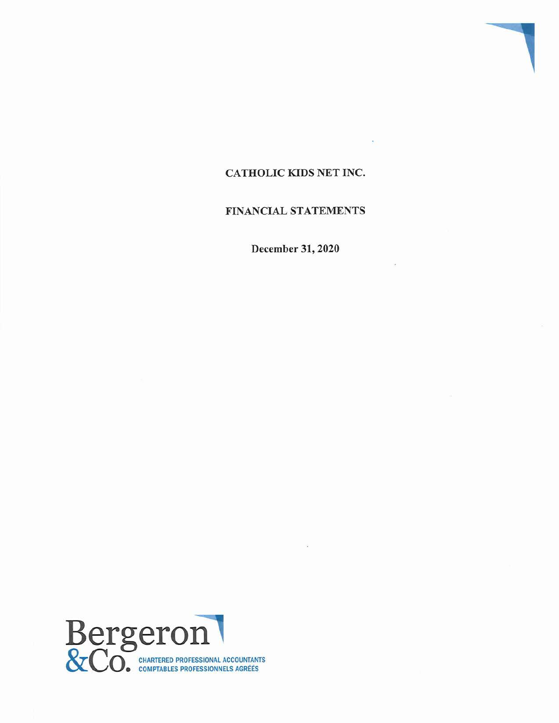# CATHOLIC KIDS NET INC.

1

## FINANCIAL STATEMENTS

December 31, 2020

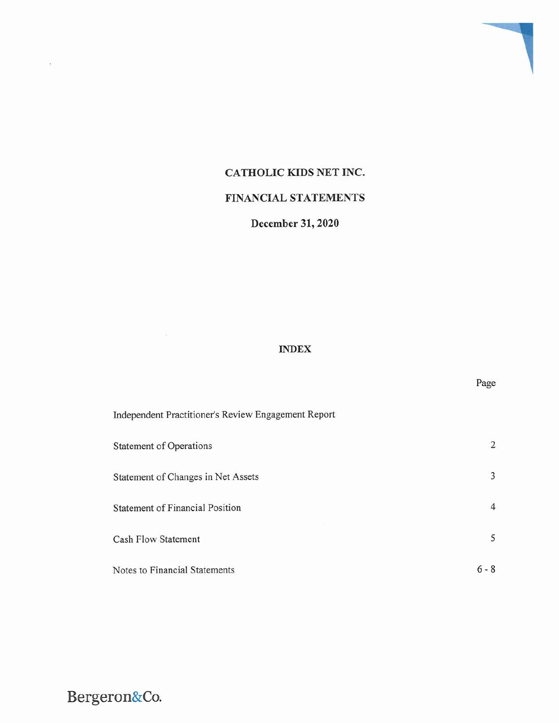# CATHOLIC KIDS NET INC.

# FINANCIAL STATEMENTS

# December 31, 2020

## INDEX

Page

| Independent Practitioner's Review Engagement Report |                |
|-----------------------------------------------------|----------------|
| Statement of Operations                             | $\overline{2}$ |
| Statement of Changes in Net Assets                  | 3              |
| <b>Statement of Financial Position</b>              | $\overline{4}$ |
| Cash Flow Statement                                 | 5              |
| Notes to Financial Statements                       | $6 - 8$        |

Bergeron&Co.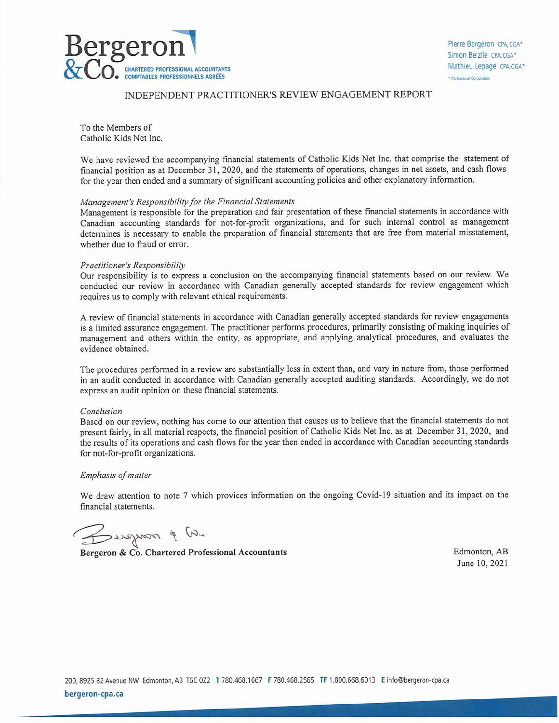

#### INDEPENDENT PRACTITIONER'S REVIEW ENGAGEMENT REPORT

To the Members of Catholic Kids Net Inc.

We have reviewed the accompanying financial statements of Catholic Kids Net Inc. that comprise the statement of financial position as at December 31, 2020, and the statements of operations, changes in net assets, and cash flows for the year then ended and a summary of significant accounting policies and other explanatory information.

#### Management's Responsibility for the Financial Statements

Management is responsible for the preparation and fair presentation of these financial statements in accordance with Canadian accounting standards for not-for-profit organizations, and for such internal control as management determines is necessary to enable the preparation of financial statements that are free from material misstatement, whether due to fraud or error.

#### Practitioner's Responsibility

Our responsibility is to express a conclusion on the accompanying financial statements based on our review. We conducted our review in accordance with Canadian generally accepted standards for review engagement which requires us to comply with relevant ethical requirements.

A review of financial statements in accordance with Canadian generally accepted standards for review engagements is a limited assurance engagement. The practitioner performs procedures, primarily consisting of making inquiries of management and others within the entity, as appropriate, and applying analytical procedures, and evaluates the evidence obtained.

The procedures performed in a review are substantially less in extent than, and vary in nature from, those performed in an audit conducted in accordance with Canadian generally accepted auditing standards. Accordingly, we do not express an audit opinion on these financial statements.

#### Conclusion

Based on our review, nothing has come to our attention that causes us to believe that the financial statements do not present fairly, in all material respects, the financial position of Catholic Kids Net Inc. as at December 31, 2020, and the results of its operations and cash flows for the year then ended in accordance with Canadian accounting standards for not-for-profit organizations.

#### Emphasis of matter

We draw attention to note 7 which provices information on the ongoing Covid-19 situation and its impact on the financial statements.

 $\zeta$  ,  $\omega$  is nongered

Bergeron & Co. Chartered Professional Accountants Edmonton, AB

June 10,2021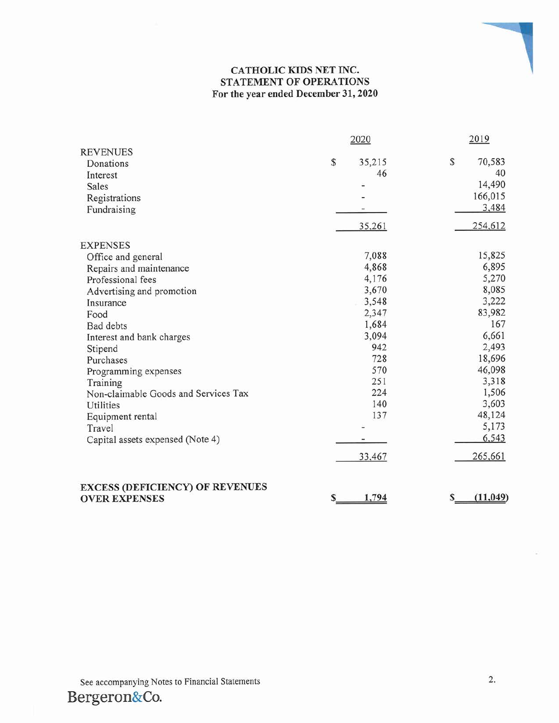## CATHOLIC KIDS NET INC. STATEMENT OF OPERATIONS For the year ended December 31,2020

| <b>REVENUES</b><br>Donations                                                                                                                                                                                                                                                                                         | 2020                                                                                                                  | 2019                                                                                                                                                     |
|----------------------------------------------------------------------------------------------------------------------------------------------------------------------------------------------------------------------------------------------------------------------------------------------------------------------|-----------------------------------------------------------------------------------------------------------------------|----------------------------------------------------------------------------------------------------------------------------------------------------------|
| Interest<br>Sales<br>Registrations<br>Fundraising                                                                                                                                                                                                                                                                    | ${\mathbb S}$<br>35,215<br>46<br>35,261                                                                               | \$<br>70,583<br>40<br>14,490<br>166,015<br>3,484<br>254,612                                                                                              |
| <b>EXPENSES</b>                                                                                                                                                                                                                                                                                                      |                                                                                                                       |                                                                                                                                                          |
| Office and general<br>Repairs and maintenance<br>Professional fees<br>Advertising and promotion<br>Insurance<br>Food<br><b>Bad</b> debts<br>Interest and bank charges<br>Stipend<br>Purchases<br>Programming expenses<br>Training<br>Non-claimable Goods and Services Tax<br>Utilities<br>Equipment rental<br>Travel | 7,088<br>4,868<br>4,176<br>3,670<br>3,548<br>2,347<br>1,684<br>3,094<br>942<br>728<br>570<br>251<br>224<br>140<br>137 | 15,825<br>6,895<br>5,270<br>8,085<br>3,222<br>83,982<br>167<br>6,661<br>2,493<br>18,696<br>46,098<br>3,318<br>1,506<br>3,603<br>48,124<br>5,173<br>6,543 |
| Capital assets expensed (Note 4)                                                                                                                                                                                                                                                                                     |                                                                                                                       |                                                                                                                                                          |

See accompanying Notes to Financial Statements 2. Bergeron&Co.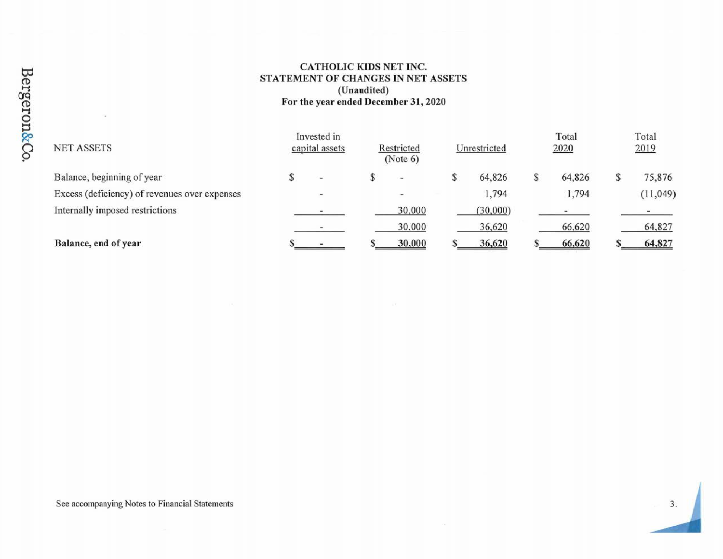## CATHOLIC KIDS NET INC. STATEMENT OF CHANGES IN NET ASSETS(Unaudited)For the year ended December 31,2020

| <b>NET ASSETS</b>                             | Invested in<br>capital assets | Restricted<br>(Note 6)   |   | Unrestricted |   | Total<br>2020 |   | Total<br>2019 |
|-----------------------------------------------|-------------------------------|--------------------------|---|--------------|---|---------------|---|---------------|
| Balance, beginning of year                    | $\sim$                        | $\sim$                   | S | 64,826       | S | 64,826        | S | 75,876        |
| Excess (deficiency) of revenues over expenses | $\overline{\phantom{a}}$      | $\overline{\phantom{a}}$ |   | 1,794        |   | 1,794         |   | (11, 049)     |
| Internally imposed restrictions               |                               | 30,000                   |   | (30,000)     |   |               |   |               |
|                                               |                               | 30,000                   |   | 36,620       |   | 66,620        |   | 64,827        |
| Balance, end of year                          |                               | 30,000                   |   | 36,620       |   | 66,620        |   | 64,827        |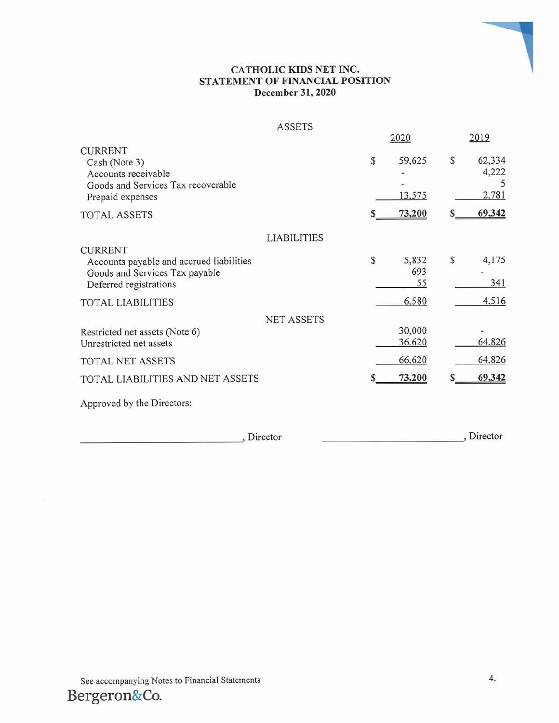## CATHOLIC KIDS NET INC. STATEMENT OF FINANCIAL POSITION December 31, 2020

### ASSETS

|                                                                                                                                  |                    |   | 2020                       |   | 2019                               |
|----------------------------------------------------------------------------------------------------------------------------------|--------------------|---|----------------------------|---|------------------------------------|
| <b>CURRENT</b><br>Cash (Note 3)<br>Accounts receivable<br>Goods and Services Tax recoverable<br>Prepaid expenses<br>TOTAL ASSETS |                    | S | 59,625<br>13,575<br>73,200 | S | 62,334<br>4,222<br>2,781<br>69,342 |
|                                                                                                                                  | <b>LIABILITIES</b> |   |                            |   |                                    |
| <b>CURRENT</b>                                                                                                                   |                    |   |                            |   |                                    |
| Accounts payable and accrued liabilities<br>Goods and Services Tax payable<br>Deferred registrations                             |                    | S | 5,832<br>693<br>55         | S | 4,175<br>341                       |
| TOTAL LIABILITIES                                                                                                                |                    |   | 6,580                      |   | 4,516                              |
|                                                                                                                                  | <b>NET ASSETS</b>  |   |                            |   |                                    |
| Restricted net assets (Note 6)<br>Unrestricted net assets                                                                        |                    |   | 30,000<br>36,620           |   | 64,826                             |
| TOTAL NET ASSETS                                                                                                                 |                    |   | 66,620                     |   | 64,826                             |
| TOTAL LIABILITIES AND NET ASSETS                                                                                                 |                    |   | 73,200                     |   | 69,342                             |
| Approved by the Directors:                                                                                                       |                    |   |                            |   |                                    |
|                                                                                                                                  |                    |   |                            |   |                                    |

, Director , Director , Director , Director , Director , Director , Director , Director ,  $\frac{1}{2}$ 

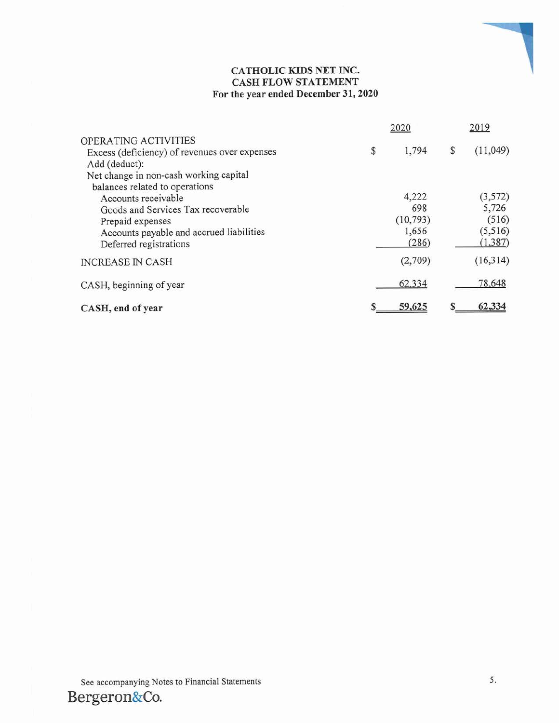## CATHOLIC KIDS NET INC. CASH FLOW STATEMENT For the year ended December 31,2020

|                                                                                                                                                                                                                                 | 2020                                        | 2019                                              |  |  |
|---------------------------------------------------------------------------------------------------------------------------------------------------------------------------------------------------------------------------------|---------------------------------------------|---------------------------------------------------|--|--|
| OPERATING ACTIVITIES<br>Excess (deficiency) of revenues over expenses<br>Add (deduct):                                                                                                                                          | \$<br>1,794                                 | \$<br>(11,049)                                    |  |  |
| Net change in non-cash working capital<br>balances related to operations<br>Accounts receivable<br>Goods and Services Tax recoverable<br>Prepaid expenses<br>Accounts payable and accrued liabilities<br>Deferred registrations | 4,222<br>698<br>(10, 793)<br>1,656<br>(286) | (3, 572)<br>5,726<br>(516)<br>(5,516)<br>(1, 387) |  |  |
| <b>INCREASE IN CASH</b>                                                                                                                                                                                                         | (2,709)                                     | (16,314)                                          |  |  |
| CASH, beginning of year                                                                                                                                                                                                         | 62,334                                      | 78,648                                            |  |  |
| CASH, end of year                                                                                                                                                                                                               | 59,625                                      | 62,334                                            |  |  |

1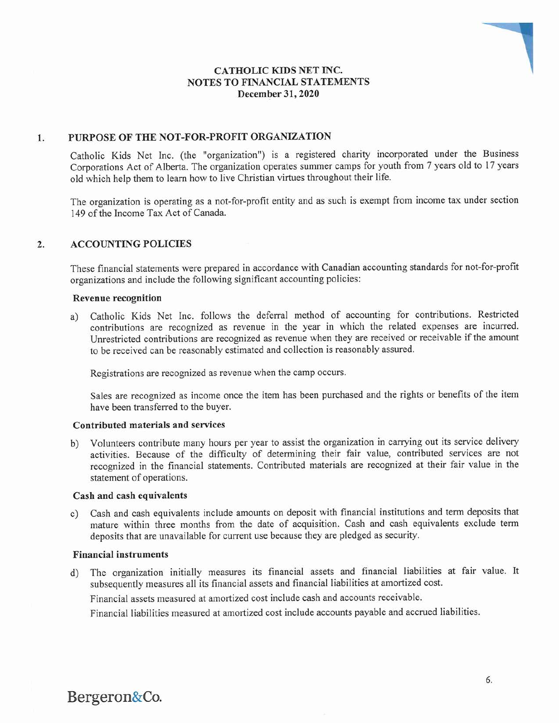## CATHOLIC KIDS NET INC. NOTES TO FINANCIAL STATEMENTS December 31, 2020

## 1. PURPOSE OF THE NOT-FOR-PROFIT ORGANIZATION

Catholic Kids Net Inc. (the "organization") is a registered charity incorporated under the Business Corporations Act of Alberta. The organization operates summer camps for youth from 7 years old to 17 years old which help them to learn how to live Christian virtues throughout their life.

The organization is operating as a not-for-profit entity and as such is exempt from income tax under section 149 of the Income Tax Act of Canada.

## 2. ACCOUNTING POLICIES

These financial statements were prepared in accordance with Canadian accounting standards for not-for-profit organizations and include the following significant accounting policies:

#### Revenue recognition

a) Catholic Kids Net Inc. follows the deferral method of accounting for contributions. Restricted contributions are recognized as revenue in the year in which the related expenses are incurred. Unrestricted contributions are recognized as revenue when they are received or receivable if the amount to be received can be reasonably estimated and collection is reasonably assured.

Registrations are recognized as revenue when the camp occurs.

Sales are recognized as income once the item has been purchased and the rights or benefits of the item have been transferred to the buyer.

#### Contributed materials and services

b) Volunteers contribute many hours per year to assist the organization in carrying out its service delivery activities. Because of the difficulty of determining their fair value, contributed services are not recognized in the financial statements. Contributed materials are recognized at their fair value in the statement of operations.

#### Cash and cash equivalents

Cash and cash equivalents include amounts on deposit with financial institutions and term deposits that mature within three months from the date of acquisition. Cash and cash equivalents exclude term deposits that are unavailable for current use because they are pledged as security.

#### Financial instruments

d) The organization initially measures its financial assets and financial liabilities at fair value. It subsequently measures all its financial assets and financial liabilities at amortized cost.

Financial assets measured at amortized cost include cash and accounts receivable.

Financial liabilities measured at amortized cost include accounts payable and accrued liabilities.



i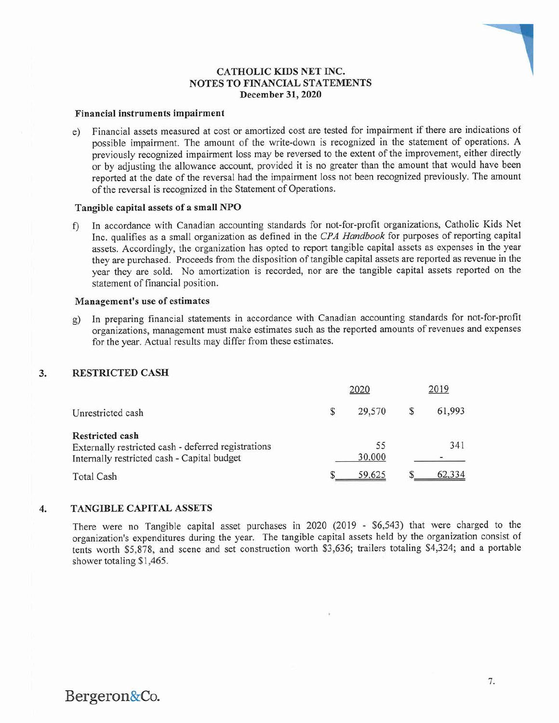## CATHOLIC KIDS NET INC. NOTES TO FINANCIAL STATEMENTS December 31, 2020

#### Financial instruments impairment

e) Financial assets measured at cost or amortized cost are tested for impairment if there are indications of possible impairment. The amount of the write-down is recognized in the statement of operations. A previously recognized impairment loss may be reversed to the extent of the improvement, either directly or by adjusting the allowance account, provided it is no greater than the amount that would have been reported at the date of the reversal had the impairment loss not been recognized previously. The amount of the reversal is recognized in the Statement of Operations.

#### Tangible capital assets of a small NPO

f) In accordance with Canadian accounting standards for not-for-profit organizations, Catholic Kids Net Inc. qualifies as a small organization as defined in the CPA Handbook for purposes of reporting capital assets. Accordingly, the organization has opted to report tangible capital assets as expenses in the year they are purchased. Proceeds from the disposition of tangible capital assets are reported as revenue in the year they are sold. No amortization is recorded, nor are the tangible capital assets reported on the statement of financial position.

#### Management's use of estimates

g) In preparing financial statements in accordance with Canadian accounting standards for not-for-profit organizations, management must make estimates such as the reported amounts of revenues and expenses for the year. Actual results may differ from these estimates.

### 3. RESTRICTED CASH

|                                                                                                                       |   | 2020         | 2019 |        |  |
|-----------------------------------------------------------------------------------------------------------------------|---|--------------|------|--------|--|
| Unrestricted cash                                                                                                     | S | 29,570       | S    | 61,993 |  |
| Restricted cash<br>Externally restricted cash - deferred registrations<br>Internally restricted cash - Capital budget |   | 55<br>30,000 |      | 341    |  |
| <b>Total Cash</b>                                                                                                     |   | 59,625       |      | 62,334 |  |

#### 4. TANGIBLE CAPITAL ASSETS

There were no Tangible capital asset purchases in 2020 (2019 - \$6,543) that were charged to the organization's expenditures during the year. The tangible capital assets held by the organization consist of tents worth \$5,878, and scene and set construction worth \$3,636; trailers totaling \$4,324; and a portable shower totaling \$1,465.

Bergeron&Co.